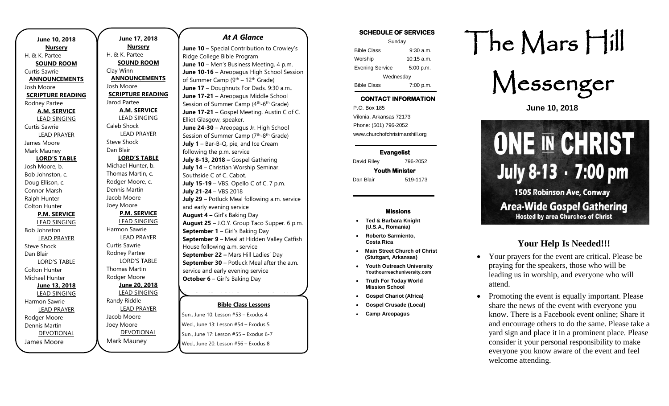| June 10, 2018            |  |  |
|--------------------------|--|--|
| <b>Nursery</b>           |  |  |
| H. & K. Partee           |  |  |
| <b>SOUND ROOM</b>        |  |  |
| Curtis Sawrie            |  |  |
| <b>ANNOUNCEMENTS</b>     |  |  |
| Josh Moore               |  |  |
| <b>SCRIPTURE READING</b> |  |  |
| Rodney Partee            |  |  |
| <b>A.M. SERVICE</b>      |  |  |
| <b>LEAD SINGING</b>      |  |  |
| <b>Curtis Sawrie</b>     |  |  |
| <b>LEAD PRAYER</b>       |  |  |
| James Moore              |  |  |
| Mark Mauney              |  |  |
| <b>LORD'S TABLE</b>      |  |  |
| Josh Moore, b.           |  |  |
| Bob Johnston, c.         |  |  |
| Doug Ellison, c.         |  |  |
| Connor Marsh             |  |  |
| Ralph Hunter             |  |  |
| Colton Hunter            |  |  |
| <b>P.M. SERVICE</b>      |  |  |
| <b>LEAD SINGING</b>      |  |  |
| <b>Bob Johnston</b>      |  |  |
| <b>LEAD PRAYER</b>       |  |  |
| <b>Steve Shock</b>       |  |  |
| Dan Blair                |  |  |
| <b>LORD'S TABLE</b>      |  |  |
| Colton Hunter            |  |  |
| Michael Hunter           |  |  |
| <b>June 13, 2018</b>     |  |  |
| <b>LEAD SINGING</b>      |  |  |
| Harmon Sawrie            |  |  |
| <b>LEAD PRAYER</b>       |  |  |
| Rodger Moore             |  |  |
| Dennis Martin            |  |  |
| <b>DEVOTIONAL</b>        |  |  |
| James Moore              |  |  |

**June 17, 2018 Nursery** H. & K. Partee **SOUND ROOM** Clay Winn **ANNOUNCEMENTS** Josh Moore **SCRIPTURE READING** Jarod Partee **A.M. SERVICE** LEAD SINGING Caleb Shock LEAD PRAYER Steve Shock Dan Blair **LORD'S TABLE** Michael Hunter, b. Thomas Martin, c. Rodger Moore, c. Dennis Martin Jacob Moore Joey Moore **P.M. SERVICE** LEAD SINGING Harmon Sawrie LEAD PRAYER Curtis Sawrie Rodney Partee LORD'S TABLE Thomas Martin Rodger Moore **June 20, 2018** LEAD SINGING Randy Riddle LEAD PRAYER Jacob Moore Joey Moore DEVOTIONAL

Mark Mauney

### *At A Glance*

**June 10 –** Special Contribution to Crowley's Ridge College Bible Program **June 10** – Men's Business Meeting. 4 p.m. **June 10-16** – Areopagus High School Session of Summer Camp (9th – 12th Grade) **June 17** – Doughnuts For Dads. 9:30 a.m.. **June 17-21** – Areopagus Middle School Session of Summer Camp (4<sup>th</sup>-6<sup>th</sup> Grade) **June 17-21** – Gospel Meeting. Austin C of C. Elliot Glasgow, speaker. **June 24-30** – Areopagus Jr. High School Session of Summer Camp (7<sup>th</sup>-8<sup>th</sup> Grade) **July 1** – Bar-B-Q, pie, and Ice Cream following the p.m. service **July 8-13, 2018 –** Gospel Gathering **July 14** – Christian Worship Seminar. Southside C of C. Cabot. **July 15-19** – VBS. Opello C of C. 7 p.m. **July 21-24** – VBS 2018 **July 29** – Potluck Meal following a.m. service and early evening service **August 4 –** Girl's Baking Day **August 25** – J.O.Y. Group Taco Supper. 6 p.m. **September 1** – Girl's Baking Day **September 9** – Meal at Hidden Valley Catfish House following a.m. service **September 22 –** Mars Hill Ladies' Day **September 30** – Potluck Meal after the a.m. service and early evening service **October 6** – Girl's Baking Day

### **Bible Class Lessons**

**October 13** – J.O.Y. Group trip to Smokin'

**Sun., June 10: Lesson #53 – Exodus 4** Wed., June 13: Lesson #54 – Exodus 5 Sun., June 17: Lesson #55 - Exodus 6-7 Wed., June 20: Lesson #56 – Exodus 8 **November 3 Circle 3 and Day 2 Services** Backing Day 2 Backing Day 2 Backing Day 2 Backing Day 2 Back Day 2 Back D a.m. service

### **SCHEDULE OF SERVICES**

| Sunday                 |              |  |
|------------------------|--------------|--|
| <b>Bible Class</b>     | $9:30$ a.m.  |  |
| Worship                | $10:15$ a.m. |  |
| <b>Evening Service</b> | 5:00 p.m.    |  |
| Wednesday              |              |  |
| <b>Bible Class</b>     | 7:00 p.m.    |  |

## **CONTACT INFORMATION**

. .o. Box 166<br>Vilonia, Arkansas 72173 P.O. Box 185 Phone: (501) 796-2052 www.churchofchristmarshill.org

**Evangelist**  David Riley 796-2052 **Youth Minister** 

Dan Blair 519-1173

#### **Missions**

- **Ted & Barbara Knight (U.S.A., Romania)**
- **Roberto Sarmiento, Costa Rica**
- **Main Street Church of Christ (Stuttgart, Arkansas)**
- **Youth Outreach University Youthourreachuniversity.com**
- **Truth For Today World Mission School**
- **Gospel Chariot (Africa)**
- **Gospel Crusade (Local)**
- **Camp Areopagus**

# The Mars Hill

Messenger

**June 10, 2018**

# **ONE IN CHRIST** July 8-13 · 7:00 pm **1505 Robinson Ave, Conway Area-Wide Gospel Gathering Hosted by area Churches of Christ**

### **Your Help Is Needed!!!**

- Your prayers for the event are critical. Please be praying for the speakers, those who will be leading us in worship, and everyone who will attend.
- Promoting the event is equally important. Please share the news of the event with everyone you know. There is a Facebook event online; Share it and encourage others to do the same. Please take a yard sign and place it in a prominent place. Please consider it your personal responsibility to make everyone you know aware of the event and feel welcome attending.